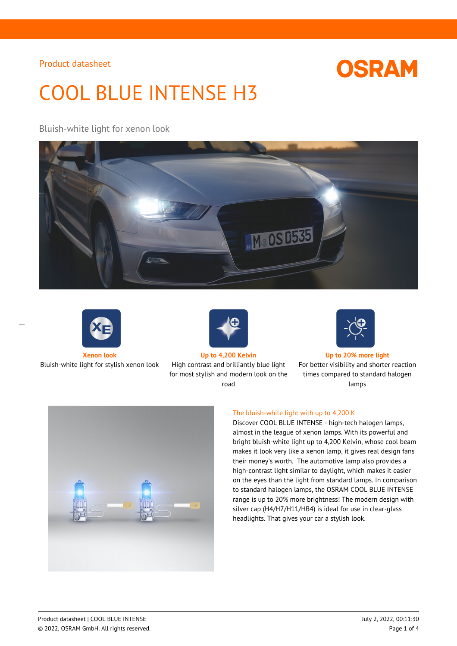# **OSRAM**

# COOL BLUE INTENSE H3

## Bluish-white light for xenon look





 $\overline{a}$ 



Bluish-white light for stylish xenon look High contrast and brilliantly blue light for most stylish and modern look on the road



**Xenon look Up to 4,200 Kelvin Up to 20% more light**

For better visibility and shorter reaction times compared to standard halogen lamps



## The bluish-white light with up to 4,200 K

Discover COOL BLUE INTENSE - high-tech halogen lamps, almost in the league of xenon lamps. With its powerful and bright bluish-white light up to 4,200 Kelvin, whose cool beam makes it look very like a xenon lamp, it gives real design fans their money's worth. The automotive lamp also provides a high-contrast light similar to daylight, which makes it easier on the eyes than the light from standard lamps. In comparison to standard halogen lamps, the OSRAM COOL BLUE INTENSE range is up to 20% more brightness! The modern design with silver cap (H4/H7/H11/HB4) is ideal for use in clear-glass headlights. That gives your car a stylish look.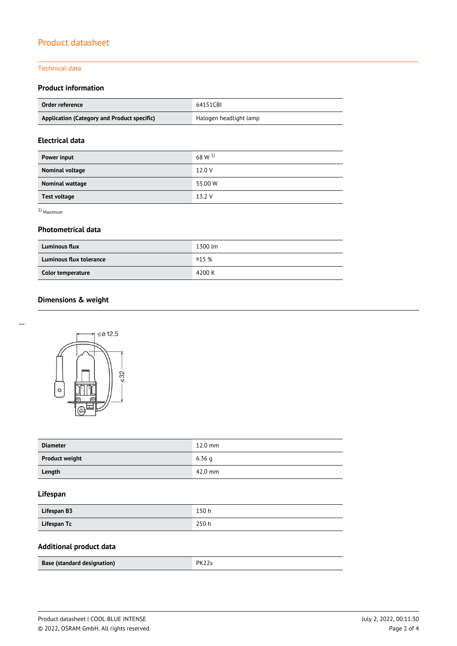### Technical data

## **Product information**

| Order reference                             | 64151CBI               |  |
|---------------------------------------------|------------------------|--|
| Application (Category and Product specific) | Halogen headlight lamp |  |

## **Electrical data**

| Power input         | 68 W $^{1)}$ |
|---------------------|--------------|
| Nominal voltage     | 12.0 V       |
| Nominal wattage     | 55.00 W      |
| <b>Test voltage</b> | 13.2 V       |

1) Maximum

 $\overline{a}$ 

## **Photometrical data**

| <b>Luminous flux</b>    | 1300 lm |  |
|-------------------------|---------|--|
| Luminous flux tolerance | ±15%    |  |
| Color temperature       | 4200 K  |  |

# **Dimensions & weight**



| <b>Diameter</b>       | $12.0$ mm |
|-----------------------|-----------|
| <b>Product weight</b> | 6.36q     |
| Length                | 42.0 mm   |

## **Lifespan**

| Lifespan B3 | 150 h |
|-------------|-------|
| Lifespan Tc | 250h  |

# **Additional product data**

| Base (standard designation) | PK22s |  |
|-----------------------------|-------|--|
|                             |       |  |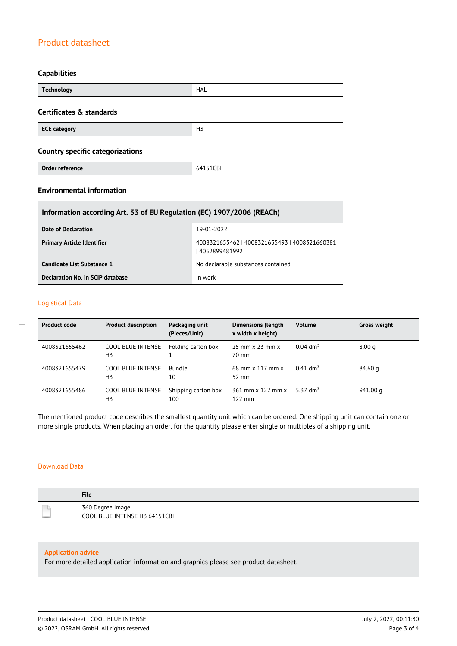### **Capabilities**

| <b>Technology</b>                       | HAL            |
|-----------------------------------------|----------------|
| Certificates & standards                |                |
| <b>ECE category</b>                     | H <sub>3</sub> |
| <b>Country specific categorizations</b> |                |
| Order reference                         | 64151CBI       |

# **Environmental information**

## **Information according Art. 33 of EU Regulation (EC) 1907/2006 (REACh)**

| Date of Declaration               | 19-01-2022                                                       |
|-----------------------------------|------------------------------------------------------------------|
| <b>Primary Article Identifier</b> | 4008321655462   4008321655493   4008321660381<br>  4052899481992 |
| Candidate List Substance 1        | No declarable substances contained                               |
| Declaration No. in SCIP database  | In work                                                          |

#### Logistical Data

 $\overline{a}$ 

| <b>Product code</b> | <b>Product description</b>                 | Packaging unit<br>(Pieces/Unit) | <b>Dimensions (length</b><br>x width x height) | <b>Volume</b>          | <b>Gross weight</b> |
|---------------------|--------------------------------------------|---------------------------------|------------------------------------------------|------------------------|---------------------|
| 4008321655462       | COOL BLUE INTENSE<br>H <sub>3</sub>        | Folding carton box              | $25$ mm $\times$ 23 mm $\times$<br>70 mm       | $0.04$ dm <sup>3</sup> | 8.00 <sub>q</sub>   |
| 4008321655479       | COOL BLUE INTENSE<br>H <sub>3</sub>        | <b>Bundle</b><br>10             | $68$ mm x 117 mm x<br>$52 \text{ mm}$          | $0.41$ dm <sup>3</sup> | 84.60 a             |
| 4008321655486       | <b>COOL BLUE INTENSE</b><br>H <sub>3</sub> | Shipping carton box<br>100      | $361$ mm x $122$ mm x<br>$122 \text{ mm}$      | 5.37 dm <sup>3</sup>   | 941.00 g            |

The mentioned product code describes the smallest quantity unit which can be ordered. One shipping unit can contain one or more single products. When placing an order, for the quantity please enter single or multiples of a shipping unit.

## Download Data

| <b>File</b>                                       |
|---------------------------------------------------|
| 360 Degree Image<br>COOL BLUE INTENSE H3 64151CBI |

#### **Application advice**

For more detailed application information and graphics please see product datasheet.